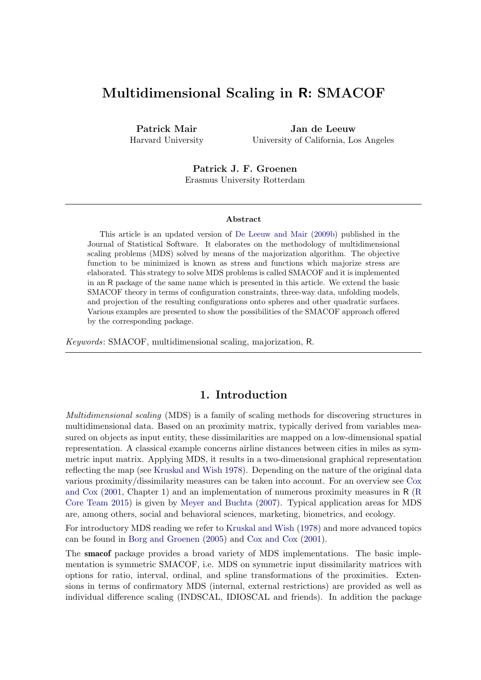# Multidimensional Scaling in R: SMACOF

Patrick Mair Harvard University

Jan de Leeuw University of California, Los Angeles

Patrick J. F. Groenen Erasmus University Rotterdam

#### Abstract

This article is an updated version of [De Leeuw and Mair](#page-33-0) [\(2009b\)](#page-33-0) published in the Journal of Statistical Software. It elaborates on the methodology of multidimensional scaling problems (MDS) solved by means of the majorization algorithm. The objective function to be minimized is known as stress and functions which majorize stress are elaborated. This strategy to solve MDS problems is called SMACOF and it is implemented in an R package of the same name which is presented in this article. We extend the basic SMACOF theory in terms of configuration constraints, three-way data, unfolding models, and projection of the resulting configurations onto spheres and other quadratic surfaces. Various examples are presented to show the possibilities of the SMACOF approach offered by the corresponding package.

Keywords: SMACOF, multidimensional scaling, majorization, R.

## 1. Introduction

Multidimensional scaling (MDS) is a family of scaling methods for discovering structures in multidimensional data. Based on an proximity matrix, typically derived from variables measured on objects as input entity, these dissimilarities are mapped on a low-dimensional spatial representation. A classical example concerns airline distances between cities in miles as symmetric input matrix. Applying MDS, it results in a two-dimensional graphical representation reflecting the map (see [Kruskal and Wish](#page-33-1) [1978\)](#page-33-1). Depending on the nature of the original data various proximity/dissimilarity measures can be taken into account. For an overview see [Cox](#page-32-0) [and Cox](#page-32-0) [\(2001,](#page-32-0) Chapter 1) and an implementation of numerous proximity measures in R [\(R](#page-33-2) [Core Team](#page-33-2) [2015\)](#page-33-2) is given by [Meyer and Buchta](#page-33-3) [\(2007\)](#page-33-3). Typical application areas for MDS are, among others, social and behavioral sciences, marketing, biometrics, and ecology.

For introductory MDS reading we refer to [Kruskal and Wish](#page-33-1) [\(1978\)](#page-33-1) and more advanced topics can be found in [Borg and Groenen](#page-32-1) [\(2005\)](#page-32-1) and [Cox and Cox](#page-32-0) [\(2001\)](#page-32-0).

The smacof package provides a broad variety of MDS implementations. The basic implementation is symmetric SMACOF, i.e. MDS on symmetric input dissimilarity matrices with options for ratio, interval, ordinal, and spline transformations of the proximities. Extensions in terms of confirmatory MDS (internal, external restrictions) are provided as well as individual difference scaling (INDSCAL, IDIOSCAL and friends). In addition the package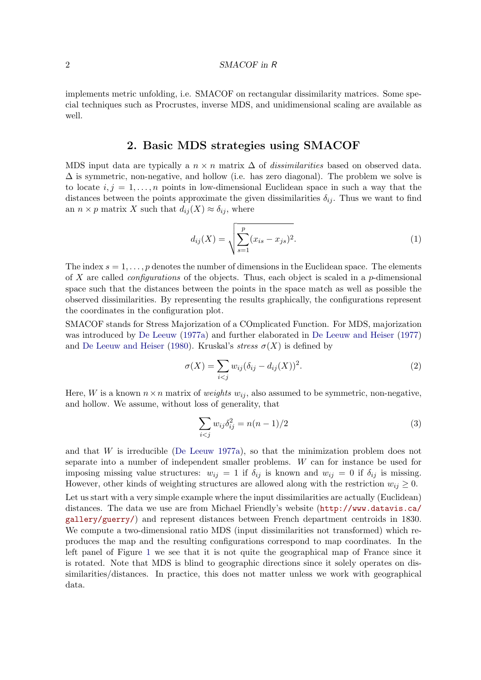implements metric unfolding, i.e. SMACOF on rectangular dissimilarity matrices. Some special techniques such as Procrustes, inverse MDS, and unidimensional scaling are available as well.

### 2. Basic MDS strategies using SMACOF

MDS input data are typically a  $n \times n$  matrix  $\Delta$  of *dissimilarities* based on observed data.  $\Delta$  is symmetric, non-negative, and hollow (i.e. has zero diagonal). The problem we solve is to locate  $i, j = 1, \ldots, n$  points in low-dimensional Euclidean space in such a way that the distances between the points approximate the given dissimilarities  $\delta_{ij}$ . Thus we want to find an  $n \times p$  matrix X such that  $d_{ij}(X) \approx \delta_{ij}$ , where

$$
d_{ij}(X) = \sqrt{\sum_{s=1}^{p} (x_{is} - x_{js})^2}.
$$
 (1)

The index  $s = 1, \ldots, p$  denotes the number of dimensions in the Euclidean space. The elements of X are called *configurations* of the objects. Thus, each object is scaled in a  $p$ -dimensional space such that the distances between the points in the space match as well as possible the observed dissimilarities. By representing the results graphically, the configurations represent the coordinates in the configuration plot.

SMACOF stands for Stress Majorization of a COmplicated Function. For MDS, majorization was introduced by [De Leeuw](#page-32-2) [\(1977a\)](#page-32-2) and further elaborated in [De Leeuw and Heiser](#page-33-4) [\(1977\)](#page-33-4) and [De Leeuw and Heiser](#page-33-5) [\(1980\)](#page-33-5). Kruskal's *stress*  $\sigma(X)$  is defined by

$$
\sigma(X) = \sum_{i < j} w_{ij} (\delta_{ij} - d_{ij}(X))^2. \tag{2}
$$

Here, W is a known  $n \times n$  matrix of *weights*  $w_{ij}$ , also assumed to be symmetric, non-negative, and hollow. We assume, without loss of generality, that

<span id="page-1-0"></span>
$$
\sum_{i < j} w_{ij} \delta_{ij}^2 = n(n-1)/2 \tag{3}
$$

and that  $W$  is irreducible [\(De Leeuw](#page-32-2) [1977a\)](#page-32-2), so that the minimization problem does not separate into a number of independent smaller problems. W can for instance be used for imposing missing value structures:  $w_{ij} = 1$  if  $\delta_{ij}$  is known and  $w_{ij} = 0$  if  $\delta_{ij}$  is missing. However, other kinds of weighting structures are allowed along with the restriction  $w_{ij} \geq 0$ . Let us start with a very simple example where the input dissimilarities are actually (Euclidean) distances. The data we use are from Michael Friendly's website ([http://www.datavis.ca/](http://www.datavis.ca/gallery/guerry/) [gallery/guerry/](http://www.datavis.ca/gallery/guerry/)) and represent distances between French department centroids in 1830. We compute a two-dimensional ratio MDS (input dissimilarities not transformed) which reproduces the map and the resulting configurations correspond to map coordinates. In the left panel of Figure [1](#page-2-0) we see that it is not quite the geographical map of France since it is rotated. Note that MDS is blind to geographic directions since it solely operates on dissimilarities/distances. In practice, this does not matter unless we work with geographical data.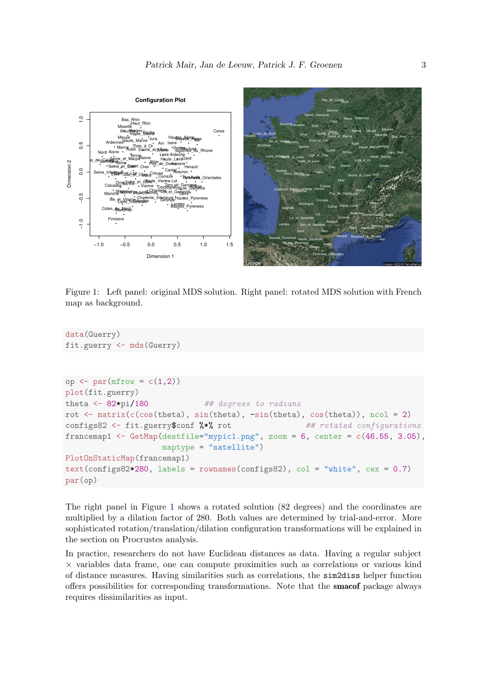

<span id="page-2-0"></span>Figure 1: Left panel: original MDS solution. Right panel: rotated MDS solution with French map as background.

```
data(Guerry)
fit.guerry <- mds(Guerry)
op <- par(mfrow = c(1,2))
plot(fit.guerry)
theta \leq -82*pi/180 ## degrees to radians
rot \leq matrix(c(cos(theta), sin(theta), -sin(theta), cos(theta)), ncol = 2)
configs82 <- fit.guerry$conf %*% rot ## rotated configurations
francemap1 <- GetMap(destfile="mypic1.png", zoom = 6, center = c(46.55, 3.05),
                    maptype = "satellite")
PlotOnStaticMap(francemap1)
text{const}(configs82*280, labels = rownames(configs82), col = "white", cex = 0.7)par(op)
```
The right panel in Figure [1](#page-2-0) shows a rotated solution (82 degrees) and the coordinates are multiplied by a dilation factor of 280. Both values are determined by trial-and-error. More sophisticated rotation/translation/dilation configuration transformations will be explained in the section on Procrustes analysis.

In practice, researchers do not have Euclidean distances as data. Having a regular subject × variables data frame, one can compute proximities such as correlations or various kind of distance measures. Having similarities such as correlations, the sim2diss helper function offers possibilities for corresponding transformations. Note that the smacof package always requires dissimilarities as input.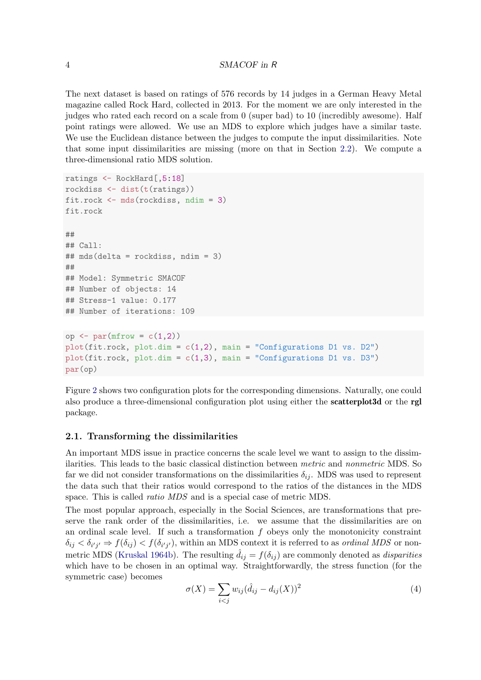The next dataset is based on ratings of 576 records by 14 judges in a German Heavy Metal magazine called Rock Hard, collected in 2013. For the moment we are only interested in the judges who rated each record on a scale from 0 (super bad) to 10 (incredibly awesome). Half point ratings were allowed. We use an MDS to explore which judges have a similar taste. We use the Euclidean distance between the judges to compute the input dissimilarities. Note that some input dissimilarities are missing (more on that in Section [2.2\)](#page-5-0). We compute a three-dimensional ratio MDS solution.

```
ratings <- RockHard[,5:18]
rockdiss <- dist(t(ratings))
fit.rock <- mds(rockdiss, ndim = 3)
fit.rock
##
## Call:
## mds(delta = rockdiss, ndim = 3)
##
## Model: Symmetric SMACOF
## Number of objects: 14
## Stress-1 value: 0.177
## Number of iterations: 109
op \leq par(mfrow = c(1,2))
plot(fit.rock, plot.dim = c(1,2), main = "Configurations D1 vs. D2")
plot(fit.rock, plot.dim = c(1,3), main = "Configurations D1 vs. D3")par(op)
```
Figure [2](#page-4-0) shows two configuration plots for the corresponding dimensions. Naturally, one could also produce a three-dimensional configuration plot using either the scatterplot3d or the rgl package.

#### 2.1. Transforming the dissimilarities

An important MDS issue in practice concerns the scale level we want to assign to the dissimilarities. This leads to the basic classical distinction between metric and nonmetric MDS. So far we did not consider transformations on the dissimilarities  $\delta_{ij}$ . MDS was used to represent the data such that their ratios would correspond to the ratios of the distances in the MDS space. This is called ratio MDS and is a special case of metric MDS.

The most popular approach, especially in the Social Sciences, are transformations that preserve the rank order of the dissimilarities, i.e. we assume that the dissimilarities are on an ordinal scale level. If such a transformation  $f$  obeys only the monotonicity constraint  $\delta_{ij} < \delta_{i'j'} \Rightarrow f(\delta_{ij}) < f(\delta_{i'j'})$ , within an MDS context it is referred to as *ordinal MDS* or non-metric MDS [\(Kruskal](#page-33-6) [1964b\)](#page-33-6). The resulting  $\hat{d}_{ij} = f(\delta_{ij})$  are commonly denoted as *disparities* which have to be chosen in an optimal way. Straightforwardly, the stress function (for the symmetric case) becomes

$$
\sigma(X) = \sum_{i < j} w_{ij} (\hat{d}_{ij} - d_{ij}(X))^2 \tag{4}
$$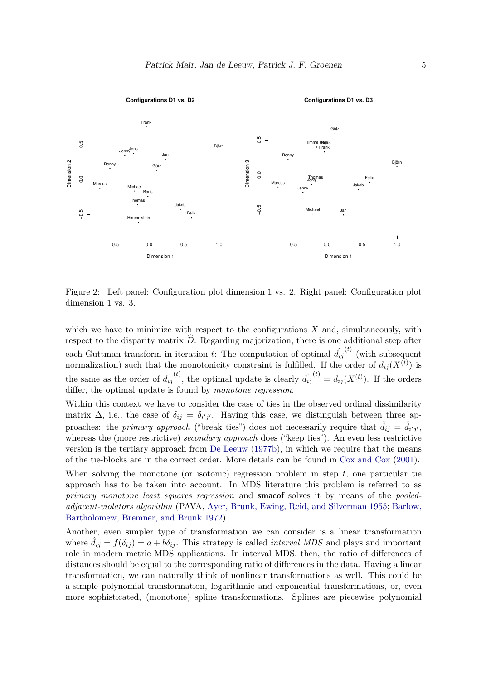

<span id="page-4-0"></span>Figure 2: Left panel: Configuration plot dimension 1 vs. 2. Right panel: Configuration plot dimension 1 vs. 3.

which we have to minimize with respect to the configurations  $X$  and, simultaneously, with respect to the disparity matrix  $\hat{D}$ . Regarding majorization, there is one additional step after each Guttman transform in iteration t: The computation of optimal  $\hat{d_{ij}}^{(t)}$  (with subsequent normalization) such that the monotonicity constraint is fulfilled. If the order of  $d_{ij}(X^{(t)})$  is the same as the order of  $\hat{d}_{ij}^{(t)}$ , the optimal update is clearly  $\hat{d}_{ij}^{(t)} = d_{ij}(X^{(t)})$ . If the orders differ, the optimal update is found by *monotone regression*.

Within this context we have to consider the case of ties in the observed ordinal dissimilarity matrix  $\Delta$ , i.e., the case of  $\delta_{ij} = \delta_{i'j'}$ . Having this case, we distinguish between three approaches: the *primary approach* ("break ties") does not necessarily require that  $\hat{d}_{ij} = \hat{d}_{i'j'}$ , whereas the (more restrictive) secondary approach does ("keep ties"). An even less restrictive version is the tertiary approach from [De Leeuw](#page-32-3) [\(1977b\)](#page-32-3), in which we require that the means of the tie-blocks are in the correct order. More details can be found in [Cox and Cox](#page-32-0) [\(2001\)](#page-32-0).

When solving the monotone (or isotonic) regression problem in step  $t$ , one particular tie approach has to be taken into account. In MDS literature this problem is referred to as primary monotone least squares regression and **smacof** solves it by means of the pooledadjacent-violators algorithm (PAVA, [Ayer, Brunk, Ewing, Reid, and Silverman](#page-30-0) [1955;](#page-30-0) [Barlow,](#page-32-4) [Bartholomew, Bremner, and Brunk](#page-32-4) [1972\)](#page-32-4).

Another, even simpler type of transformation we can consider is a linear transformation where  $\hat{d}_{ij} = f(\delta_{ij}) = a + b\delta_{ij}$ . This strategy is called *interval MDS* and plays and important role in modern metric MDS applications. In interval MDS, then, the ratio of differences of distances should be equal to the corresponding ratio of differences in the data. Having a linear transformation, we can naturally think of nonlinear transformations as well. This could be a simple polynomial transformation, logarithmic and exponential transformations, or, even more sophisticated, (monotone) spline transformations. Splines are piecewise polynomial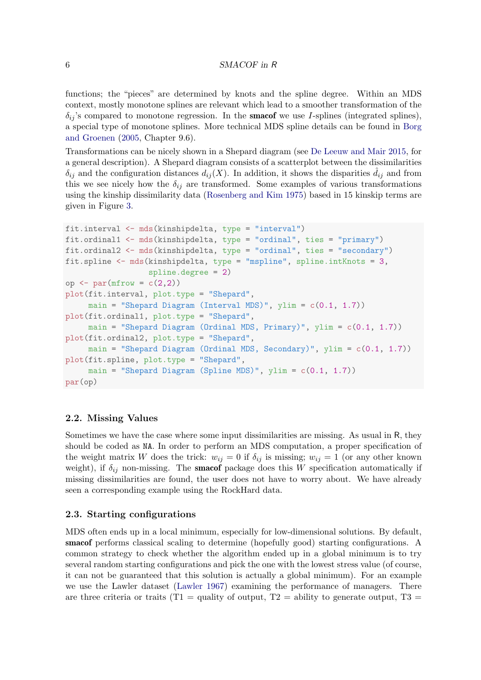functions; the "pieces" are determined by knots and the spline degree. Within an MDS context, mostly monotone splines are relevant which lead to a smoother transformation of the  $\delta_{ij}$ 's compared to monotone regression. In the **smacof** we use I-splines (integrated splines), a special type of monotone splines. More technical MDS spline details can be found in [Borg](#page-32-1) [and Groenen](#page-32-1) [\(2005,](#page-32-1) Chapter 9.6).

Transformations can be nicely shown in a Shepard diagram (see [De Leeuw and Mair](#page-33-7) [2015,](#page-33-7) for a general description). A Shepard diagram consists of a scatterplot between the dissimilarities  $\delta_{ij}$  and the configuration distances  $d_{ij}(X)$ . In addition, it shows the disparities  $\dot{d}_{ij}$  and from this we see nicely how the  $\delta_{ij}$  are transformed. Some examples of various transformations using the kinship dissimilarity data [\(Rosenberg and Kim](#page-34-0) [1975\)](#page-34-0) based in 15 kinskip terms are given in Figure [3.](#page-6-0)

```
fit.interval <- mds(kinshipdelta, type = "interval")
fit.ordinal1 <- mds(kinshipdelta, type = "ordinal", ties = "primary")
fit.ordinal2 <- mds(kinshipdelta, type = "ordinal", ties = "secondary")
fit.spline <- mds(kinshipdelta, type = "mspline", spline.intKnots = 3,
                  spline.degree = 2)
op \leq par(mfrow = c(2,2))
plot(fit.interval, plot.type = "Shepard",
     main = "Shepard Diagram (Interval MDS)", ylim = c(0.1, 1.7))
plot(fit.ordinal1, plot.type = "Shepard",
     main = "Shepard Diagram (Ordinal MDS, Primary)", ylim = c(0.1, 1.7))
plot(fit.ordinal2, plot.type = "Shepard",
     main = "Shepard Diagram (Ordinal MDS, Secondary)", ylim = c(0.1, 1.7))
plot(fit.spline, plot.type = "Shepard",
     main = "Shepard Diagram (Spline MDS)", ylim = c(0.1, 1.7))
par(op)
```
### <span id="page-5-0"></span>2.2. Missing Values

Sometimes we have the case where some input dissimilarities are missing. As usual in R, they should be coded as NA. In order to perform an MDS computation, a proper specification of the weight matrix W does the trick:  $w_{ij} = 0$  if  $\delta_{ij}$  is missing;  $w_{ij} = 1$  (or any other known weight), if  $\delta_{ij}$  non-missing. The **smacof** package does this W specification automatically if missing dissimilarities are found, the user does not have to worry about. We have already seen a corresponding example using the RockHard data.

### 2.3. Starting configurations

MDS often ends up in a local minimum, especially for low-dimensional solutions. By default, smacof performs classical scaling to determine (hopefully good) starting configurations. A common strategy to check whether the algorithm ended up in a global minimum is to try several random starting configurations and pick the one with the lowest stress value (of course, it can not be guaranteed that this solution is actually a global minimum). For an example we use the Lawler dataset [\(Lawler](#page-33-8) [1967\)](#page-33-8) examining the performance of managers. There are three criteria or traits (T1 = quality of output, T2 = ability to generate output, T3 =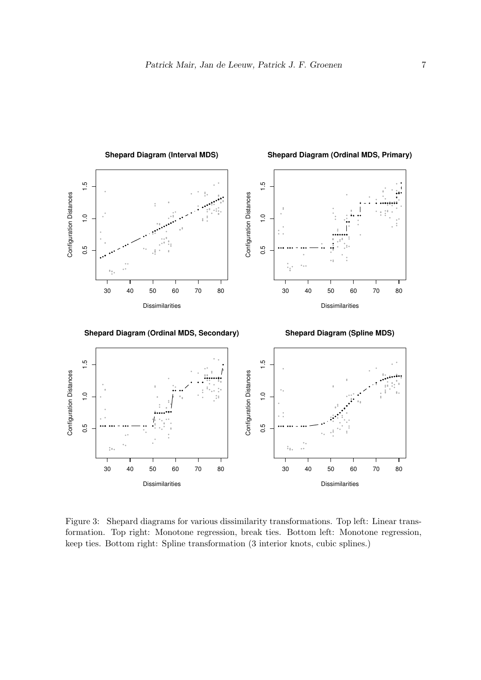

<span id="page-6-0"></span>Figure 3: Shepard diagrams for various dissimilarity transformations. Top left: Linear transformation. Top right: Monotone regression, break ties. Bottom left: Monotone regression, keep ties. Bottom right: Spline transformation (3 interior knots, cubic splines.)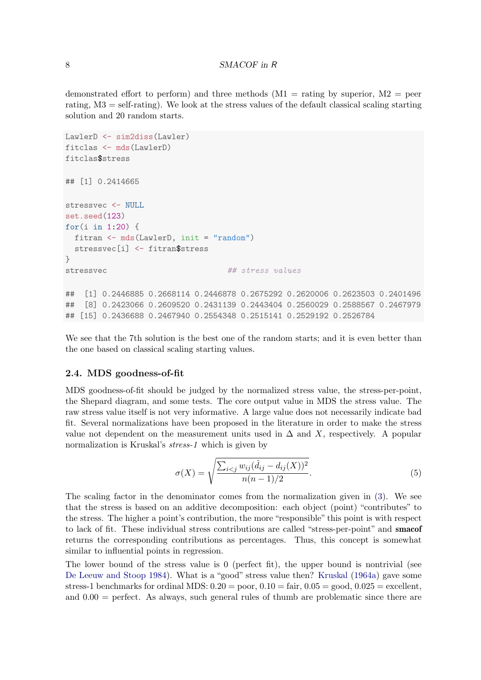demonstrated effort to perform) and three methods  $(M1 = \text{rating by superior}, M2 = \text{peer}$ rating, M3 = self-rating). We look at the stress values of the default classical scaling starting solution and 20 random starts.

```
LawlerD <- sim2diss(Lawler)
fitclas <- mds(LawlerD)
fitclas$stress
## [1] 0.2414665
stressvec <- NULL
set.seed(123)
for(i in 1:20) {
  fitran <- mds(LawlerD, init = "random")
  stressvec[i] <- fitran$stress
}
stressvec # # stress values## [1] 0.2446885 0.2668114 0.2446878 0.2675292 0.2620006 0.2623503 0.2401496
## [8] 0.2423066 0.2609520 0.2431139 0.2443404 0.2560029 0.2588567 0.2467979
## [15] 0.2436688 0.2467940 0.2554348 0.2515141 0.2529192 0.2526784
```
We see that the 7th solution is the best one of the random starts; and it is even better than the one based on classical scaling starting values.

### 2.4. MDS goodness-of-fit

MDS goodness-of-fit should be judged by the normalized stress value, the stress-per-point, the Shepard diagram, and some tests. The core output value in MDS the stress value. The raw stress value itself is not very informative. A large value does not necessarily indicate bad fit. Several normalizations have been proposed in the literature in order to make the stress value not dependent on the measurement units used in  $\Delta$  and X, respectively. A popular normalization is Kruskal's stress-1 which is given by

$$
\sigma(X) = \sqrt{\frac{\sum_{i < j} w_{ij} (\hat{d}_{ij} - d_{ij}(X))^2}{n(n-1)/2}}.
$$
\n<sup>(5)</sup>

The scaling factor in the denominator comes from the normalization given in [\(3\)](#page-1-0). We see that the stress is based on an additive decomposition: each object (point) "contributes" to the stress. The higher a point's contribution, the more "responsible" this point is with respect to lack of fit. These individual stress contributions are called "stress-per-point" and smacof returns the corresponding contributions as percentages. Thus, this concept is somewhat similar to influential points in regression.

The lower bound of the stress value is  $0$  (perfect fit), the upper bound is nontrivial (see [De Leeuw and Stoop](#page-33-9) [1984\)](#page-33-9). What is a "good" stress value then? [Kruskal](#page-33-10) [\(1964a\)](#page-33-10) gave some stress-1 benchmarks for ordinal MDS:  $0.20 =$  poor,  $0.10 =$  fair,  $0.05 =$  good,  $0.025 =$  excellent, and  $0.00 =$  perfect. As always, such general rules of thumb are problematic since there are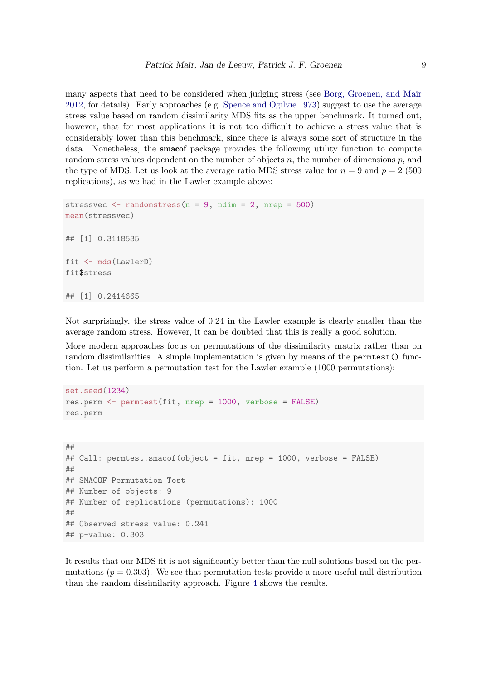many aspects that need to be considered when judging stress (see [Borg, Groenen, and Mair](#page-32-5) [2012,](#page-32-5) for details). Early approaches (e.g. [Spence and Ogilvie](#page-34-1) [1973\)](#page-34-1) suggest to use the average stress value based on random dissimilarity MDS fits as the upper benchmark. It turned out, however, that for most applications it is not too difficult to achieve a stress value that is considerably lower than this benchmark, since there is always some sort of structure in the data. Nonetheless, the smacof package provides the following utility function to compute random stress values dependent on the number of objects  $n$ , the number of dimensions  $p$ , and the type of MDS. Let us look at the average ratio MDS stress value for  $n = 9$  and  $p = 2$  (500) replications), as we had in the Lawler example above:

```
stressvec \leq randomstress(n = 9, ndim = 2, nrep = 500)
mean(stressvec)
## [1] 0.3118535
fit <- mds(LawlerD)
fit$stress
## [1] 0.2414665
```
Not surprisingly, the stress value of 0.24 in the Lawler example is clearly smaller than the average random stress. However, it can be doubted that this is really a good solution.

More modern approaches focus on permutations of the dissimilarity matrix rather than on random dissimilarities. A simple implementation is given by means of the permtest() function. Let us perform a permutation test for the Lawler example (1000 permutations):

```
set.seed(1234)
res.perm <- permtest(fit, nrep = 1000, verbose = FALSE)
res.perm
```

```
##
## Call: permtest.smacof(object = fit, nrep = 1000, verbose = FALSE)
##
## SMACOF Permutation Test
## Number of objects: 9
## Number of replications (permutations): 1000
##
## Observed stress value: 0.241
## p-value: 0.303
```
It results that our MDS fit is not significantly better than the null solutions based on the permutations ( $p = 0.303$ ). We see that permutation tests provide a more useful null distribution than the random dissimilarity approach. Figure [4](#page-9-0) shows the results.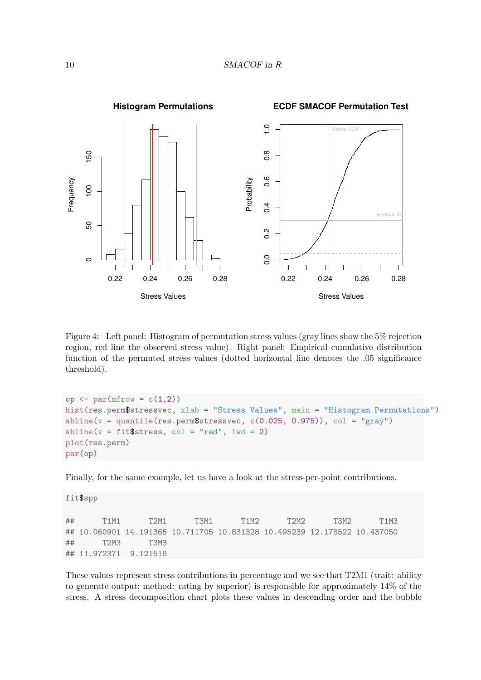

<span id="page-9-0"></span>Figure 4: Left panel: Histogram of permutation stress values (gray lines show the 5% rejection region, red line the observed stress value). Right panel: Empirical cumulative distribution function of the permuted stress values (dotted horizontal line denotes the .05 significance threshold).

op  $\leq$  par(mfrow =  $c(1,2)$ ) hist(res.perm\$stressvec, xlab = "Stress Values", main = "Histogram Permutations") abline( $v =$ quantile(res.perm\$stressvec,  $c(0.025, 0.975)$ ),  $col =$  "gray")  $abline(v = fit$stress, col = "red", lwd = 2)$ plot(res.perm) par(op)

Finally, for the same example, let us have a look at the stress-per-point contributions.

fit\$spp

## T1M1 T2M1 T3M1 T1M2 T2M2 T3M2 T1M3 ## 10.060901 14.191365 10.711705 10.831328 10.495239 12.178522 10.437050 ## T2M3 T3M3 ## 11.972371 9.121518

These values represent stress contributions in percentage and we see that T2M1 (trait: ability to generate output; method: rating by superior) is responsible for approximately 14% of the stress. A stress decomposition chart plots these values in descending order and the bubble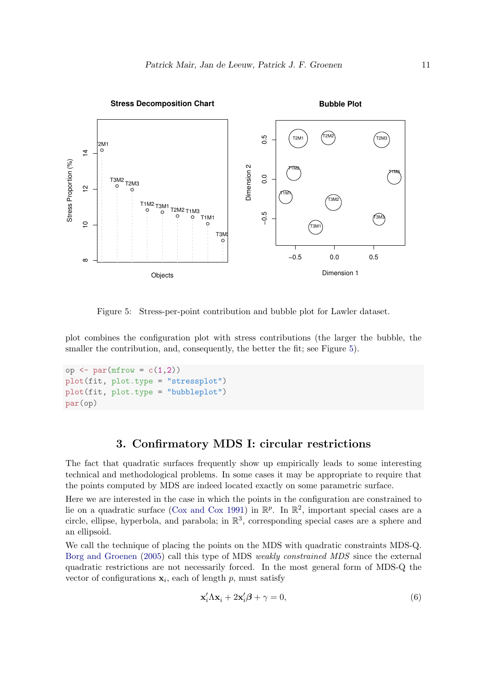

<span id="page-10-0"></span>Figure 5: Stress-per-point contribution and bubble plot for Lawler dataset.

plot combines the configuration plot with stress contributions (the larger the bubble, the smaller the contribution, and, consequently, the better the fit; see Figure [5\)](#page-10-0).

```
op \leq par(mfrow = c(1,2))
plot(fit, plot.type = "stressplot")
plot(fit, plot.type = "bubbleplot")
par(op)
```
# 3. Confirmatory MDS I: circular restrictions

The fact that quadratic surfaces frequently show up empirically leads to some interesting technical and methodological problems. In some cases it may be appropriate to require that the points computed by MDS are indeed located exactly on some parametric surface.

Here we are interested in the case in which the points in the configuration are constrained to lie on a quadratic surface [\(Cox and Cox](#page-32-6) [1991\)](#page-32-6) in  $\mathbb{R}^p$ . In  $\mathbb{R}^2$ , important special cases are a circle, ellipse, hyperbola, and parabola; in  $\mathbb{R}^3$ , corresponding special cases are a sphere and an ellipsoid.

We call the technique of placing the points on the MDS with quadratic constraints MDS-Q. [Borg and Groenen](#page-32-1) [\(2005\)](#page-32-1) call this type of MDS weakly constrained MDS since the external quadratic restrictions are not necessarily forced. In the most general form of MDS-Q the vector of configurations  $\mathbf{x}_i$ , each of length p, must satisfy

$$
\mathbf{x}'_i \Lambda \mathbf{x}_i + 2\mathbf{x}'_i \boldsymbol{\beta} + \gamma = 0,\tag{6}
$$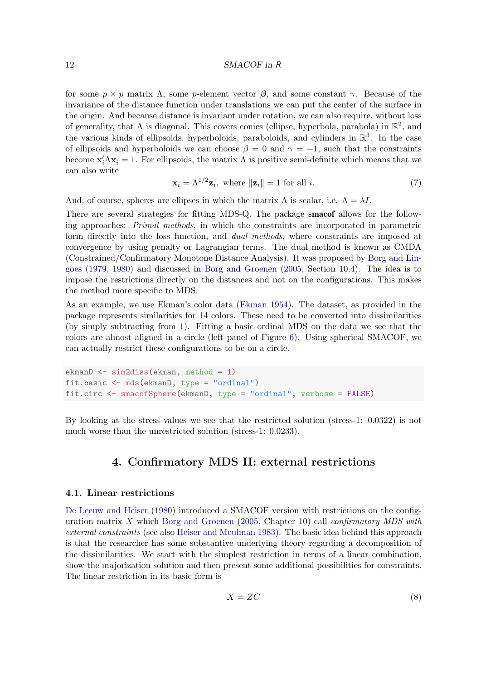for some  $p \times p$  matrix  $\Lambda$ , some p-element vector  $\beta$ , and some constant  $\gamma$ . Because of the invariance of the distance function under translations we can put the center of the surface in the origin. And because distance is invariant under rotation, we can also require, without loss of generality, that  $\Lambda$  is diagonal. This covers conics (ellipse, hyperbola, parabola) in  $\mathbb{R}^2$ , and the various kinds of ellipsoids, hyperboloids, paraboloids, and cylinders in  $\mathbb{R}^3$ . In the case of ellipsoids and hyperboloids we can choose  $\beta = 0$  and  $\gamma = -1$ , such that the constraints become  $\mathbf{x}'_i \Lambda \mathbf{x}_i = 1$ . For ellipsoids, the matrix  $\Lambda$  is positive semi-definite which means that we can also write

$$
\mathbf{x}_i = \Lambda^{1/2} \mathbf{z}_i, \text{ where } \|\mathbf{z}_i\| = 1 \text{ for all } i. \tag{7}
$$

And, of course, spheres are ellipses in which the matrix  $\Lambda$  is scalar, i.e.  $\Lambda = \lambda I$ .

There are several strategies for fitting MDS-Q. The package smacof allows for the following approaches: Primal methods, in which the constraints are incorporated in parametric form directly into the loss function, and dual methods, where constraints are imposed at convergence by using penalty or Lagrangian terms. The dual method is known as CMDA (Constrained/Confirmatory Monotone Distance Analysis). It was proposed by [Borg and Lin](#page-32-7)[goes](#page-32-7) [\(1979,](#page-32-7) [1980\)](#page-32-8) and discussed in [Borg and Groenen](#page-32-1) [\(2005,](#page-32-1) Section 10.4). The idea is to impose the restrictions directly on the distances and not on the configurations. This makes the method more specific to MDS.

As an example, we use Ekman's color data [\(Ekman](#page-33-11) [1954\)](#page-33-11). The dataset, as provided in the package represents similarities for 14 colors. These need to be converted into dissimilarities (by simply subtracting from 1). Fitting a basic ordinal MDS on the data we see that the colors are almost aligned in a circle (left panel of Figure [6\)](#page-12-0). Using spherical SMACOF, we can actually restrict these configurations to be on a circle.

ekmanD <- sim2diss(ekman, method = 1) fit.basic <- mds(ekmanD, type = "ordinal") fit.circ <- smacofSphere(ekmanD, type = "ordinal", verbose = FALSE)

By looking at the stress values we see that the restricted solution (stress-1: 0.0322) is not much worse than the unrestricted solution (stress-1: 0.0233).

### 4. Confirmatory MDS II: external restrictions

### 4.1. Linear restrictions

[De Leeuw and Heiser](#page-33-5) [\(1980\)](#page-33-5) introduced a SMACOF version with restrictions on the config-uration matrix X which [Borg and Groenen](#page-32-1)  $(2005, Chapter 10)$  $(2005, Chapter 10)$  call *confirmatory MDS with* external constraints (see also [Heiser and Meulman](#page-33-12) [1983\)](#page-33-12). The basic idea behind this approach is that the researcher has some substantive underlying theory regarding a decomposition of the dissimilarities. We start with the simplest restriction in terms of a linear combination, show the majorization solution and then present some additional possibilities for constraints. The linear restriction in its basic form is

<span id="page-11-0"></span>
$$
X = ZC \tag{8}
$$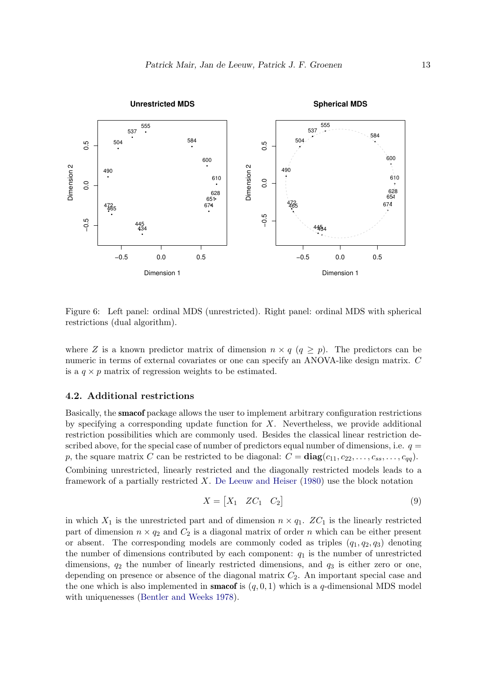

<span id="page-12-0"></span>Figure 6: Left panel: ordinal MDS (unrestricted). Right panel: ordinal MDS with spherical restrictions (dual algorithm).

where Z is a known predictor matrix of dimension  $n \times q$   $(q \geq p)$ . The predictors can be numeric in terms of external covariates or one can specify an ANOVA-like design matrix. C is a  $q \times p$  matrix of regression weights to be estimated.

### 4.2. Additional restrictions

Basically, the smacof package allows the user to implement arbitrary configuration restrictions by specifying a corresponding update function for  $X$ . Nevertheless, we provide additional restriction possibilities which are commonly used. Besides the classical linear restriction described above, for the special case of number of predictors equal number of dimensions, i.e.  $q =$ p, the square matrix C can be restricted to be diagonal:  $C = diag(c_{11}, c_{22}, \ldots, c_{ss}, \ldots, c_{qq}).$ Combining unrestricted, linearly restricted and the diagonally restricted models leads to a framework of a partially restricted  $X$ . [De Leeuw and Heiser](#page-33-5) [\(1980\)](#page-33-5) use the block notation

<span id="page-12-1"></span>
$$
X = \begin{bmatrix} X_1 & ZC_1 & C_2 \end{bmatrix} \tag{9}
$$

in which  $X_1$  is the unrestricted part and of dimension  $n \times q_1$ .  $ZC_1$  is the linearly restricted part of dimension  $n \times q_2$  and  $C_2$  is a diagonal matrix of order n which can be either present or absent. The corresponding models are commonly coded as triples  $(q_1, q_2, q_3)$  denoting the number of dimensions contributed by each component:  $q_1$  is the number of unrestricted dimensions,  $q_2$  the number of linearly restricted dimensions, and  $q_3$  is either zero or one, depending on presence or absence of the diagonal matrix  $C_2$ . An important special case and the one which is also implemented in **smacof** is  $(q, 0, 1)$  which is a q-dimensional MDS model with uniquenesses [\(Bentler and Weeks](#page-32-9) [1978\)](#page-32-9).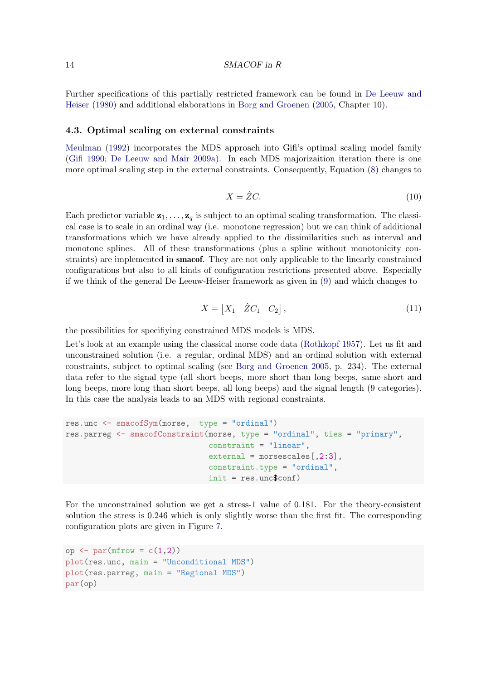Further specifications of this partially restricted framework can be found in [De Leeuw and](#page-33-5) [Heiser](#page-33-5) [\(1980\)](#page-33-5) and additional elaborations in [Borg and Groenen](#page-32-1) [\(2005,](#page-32-1) Chapter 10).

#### 4.3. Optimal scaling on external constraints

[Meulman](#page-33-13) [\(1992\)](#page-33-13) incorporates the MDS approach into Gifi's optimal scaling model family [\(Gifi](#page-33-14) [1990;](#page-33-14) [De Leeuw and Mair](#page-33-15) [2009a\)](#page-33-15). In each MDS majorizaition iteration there is one more optimal scaling step in the external constraints. Consequently, Equation [\(8\)](#page-11-0) changes to

$$
X = \hat{Z}C.
$$
 (10)

Each predictor variable  $z_1, \ldots, z_q$  is subject to an optimal scaling transformation. The classical case is to scale in an ordinal way (i.e. monotone regression) but we can think of additional transformations which we have already applied to the dissimilarities such as interval and monotone splines. All of these transformations (plus a spline without monotonicity constraints) are implemented in **smacof**. They are not only applicable to the linearly constrained configurations but also to all kinds of configuration restrictions presented above. Especially if we think of the general De Leeuw-Heiser framework as given in [\(9\)](#page-12-1) and which changes to

$$
X = \begin{bmatrix} X_1 & \hat{Z}C_1 & C_2 \end{bmatrix},\tag{11}
$$

the possibilities for specifiying constrained MDS models is MDS.

Let's look at an example using the classical morse code data [\(Rothkopf](#page-34-2) [1957\)](#page-34-2). Let us fit and unconstrained solution (i.e. a regular, ordinal MDS) and an ordinal solution with external constraints, subject to optimal scaling (see [Borg and Groenen](#page-32-1) [2005,](#page-32-1) p. 234). The external data refer to the signal type (all short beeps, more short than long beeps, same short and long beeps, more long than short beeps, all long beeps) and the signal length (9 categories). In this case the analysis leads to an MDS with regional constraints.

```
res.unc <- smacofSym(morse, type = "ordinal")
res.parreg <- smacofConstraint(morse, type = "ordinal", ties = "primary",
                               constraint = "linear",
                               external = morsescales[,2:3],
                               constraint.type = "ordinal",
                               init = res.unc$conf)
```
For the unconstrained solution we get a stress-1 value of 0.181. For the theory-consistent solution the stress is 0.246 which is only slightly worse than the first fit. The corresponding configuration plots are given in Figure [7.](#page-14-0)

```
op \leq par(mfrow = c(1,2))
plot(res.unc, main = "Unconditional MDS")
plot(res.parreg, main = "Regional MDS")
par(op)
```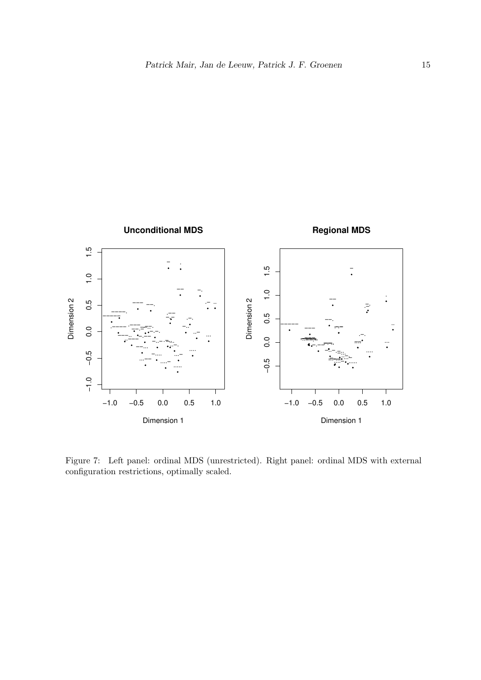

<span id="page-14-0"></span>Figure 7: Left panel: ordinal MDS (unrestricted). Right panel: ordinal MDS with external configuration restrictions, optimally scaled.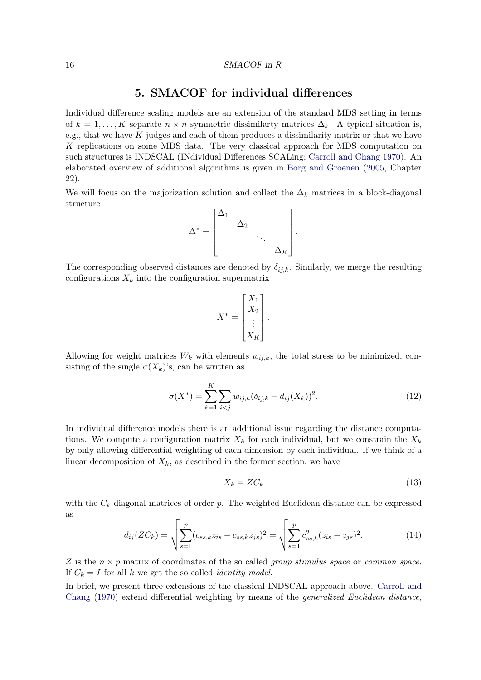## 5. SMACOF for individual differences

Individual difference scaling models are an extension of the standard MDS setting in terms of  $k = 1, \ldots, K$  separate  $n \times n$  symmetric dissimilarty matrices  $\Delta_k$ . A typical situation is, e.g., that we have  $K$  judges and each of them produces a dissimilarity matrix or that we have K replications on some MDS data. The very classical approach for MDS computation on such structures is INDSCAL (INdividual Differences SCALing; [Carroll and Chang](#page-32-10) [1970\)](#page-32-10). An elaborated overview of additional algorithms is given in [Borg and Groenen](#page-32-1) [\(2005,](#page-32-1) Chapter 22).

We will focus on the majorization solution and collect the  $\Delta_k$  matrices in a block-diagonal structure

$$
\Delta^* = \begin{bmatrix} \Delta_1 & & & \\ & \Delta_2 & & \\ & & \ddots & \\ & & & \Delta_K \end{bmatrix}.
$$

The corresponding observed distances are denoted by  $\delta_{ij,k}$ . Similarly, we merge the resulting configurations  $X_k$  into the configuration supermatrix

$$
X^* = \begin{bmatrix} X_1 \\ X_2 \\ \vdots \\ X_K \end{bmatrix}.
$$

Allowing for weight matrices  $W_k$  with elements  $w_{i,k}$ , the total stress to be minimized, consisting of the single  $\sigma(X_k)$ 's, can be written as

$$
\sigma(X^*) = \sum_{k=1}^K \sum_{i < j} w_{ij,k} (\delta_{ij,k} - d_{ij}(X_k))^2. \tag{12}
$$

In individual difference models there is an additional issue regarding the distance computations. We compute a configuration matrix  $X_k$  for each individual, but we constrain the  $X_k$ by only allowing differential weighting of each dimension by each individual. If we think of a linear decomposition of  $X_k$ , as described in the former section, we have

<span id="page-15-0"></span>
$$
X_k = Z C_k \tag{13}
$$

with the  $C_k$  diagonal matrices of order  $p$ . The weighted Euclidean distance can be expressed as

$$
d_{ij}(ZC_k) = \sqrt{\sum_{s=1}^{p} (c_{ss,k}z_{is} - c_{ss,k}z_{js})^2} = \sqrt{\sum_{s=1}^{p} c_{ss,k}^2 (z_{is} - z_{js})^2}.
$$
 (14)

Z is the  $n \times p$  matrix of coordinates of the so called *group stimulus space* or *common space*. If  $C_k = I$  for all k we get the so called *identity model*.

In brief, we present three extensions of the classical INDSCAL approach above. [Carroll and](#page-32-10) [Chang](#page-32-10) [\(1970\)](#page-32-10) extend differential weighting by means of the generalized Euclidean distance,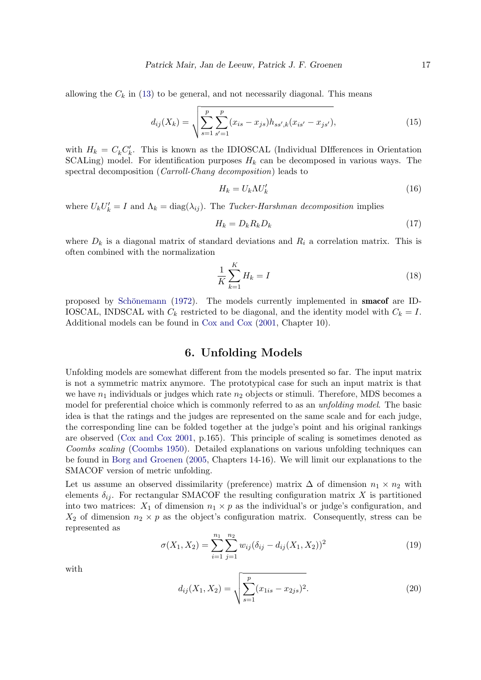allowing the  $C_k$  in [\(13\)](#page-15-0) to be general, and not necessarily diagonal. This means

$$
d_{ij}(X_k) = \sqrt{\sum_{s=1}^p \sum_{s'=1}^p (x_{is} - x_{js}) h_{ss',k}(x_{is'} - x_{js'})},\tag{15}
$$

with  $H_k = C_k C'_k$ . This is known as the IDIOSCAL (Individual DIfferences in Orientation SCALing) model. For identification purposes  $H_k$  can be decomposed in various ways. The spectral decomposition (Carroll-Chang decomposition) leads to

$$
H_k = U_k \Lambda U'_k \tag{16}
$$

where  $U_k U'_k = I$  and  $\Lambda_k = \text{diag}(\lambda_{ij})$ . The Tucker-Harshman decomposition implies

$$
H_k = D_k R_k D_k \tag{17}
$$

where  $D_k$  is a diagonal matrix of standard deviations and  $R_i$  a correlation matrix. This is often combined with the normalization

$$
\frac{1}{K}\sum_{k=1}^{K}H_k = I\tag{18}
$$

proposed by Schönemann [\(1972\)](#page-34-3). The models currently implemented in **smacof** are ID-IOSCAL, INDSCAL with  $C_k$  restricted to be diagonal, and the identity model with  $C_k = I$ . Additional models can be found in [Cox and Cox](#page-32-0) [\(2001,](#page-32-0) Chapter 10).

## 6. Unfolding Models

Unfolding models are somewhat different from the models presented so far. The input matrix is not a symmetric matrix anymore. The prototypical case for such an input matrix is that we have  $n_1$  individuals or judges which rate  $n_2$  objects or stimuli. Therefore, MDS becomes a model for preferential choice which is commonly referred to as an *unfolding model*. The basic idea is that the ratings and the judges are represented on the same scale and for each judge, the corresponding line can be folded together at the judge's point and his original rankings are observed [\(Cox and Cox](#page-32-0) [2001,](#page-32-0) p.165). This principle of scaling is sometimes denoted as Coombs scaling [\(Coombs](#page-32-11) [1950\)](#page-32-11). Detailed explanations on various unfolding techniques can be found in [Borg and Groenen](#page-32-1) [\(2005,](#page-32-1) Chapters 14-16). We will limit our explanations to the SMACOF version of metric unfolding.

Let us assume an observed dissimilarity (preference) matrix  $\Delta$  of dimension  $n_1 \times n_2$  with elements  $\delta_{ij}$ . For rectangular SMACOF the resulting configuration matrix X is partitioned into two matrices:  $X_1$  of dimension  $n_1 \times p$  as the individual's or judge's configuration, and  $X_2$  of dimension  $n_2 \times p$  as the object's configuration matrix. Consequently, stress can be represented as

$$
\sigma(X_1, X_2) = \sum_{i=1}^{n_1} \sum_{j=1}^{n_2} w_{ij} (\delta_{ij} - d_{ij}(X_1, X_2))^2
$$
\n(19)

with

$$
d_{ij}(X_1, X_2) = \sqrt{\sum_{s=1}^p (x_{1is} - x_{2js})^2}.
$$
 (20)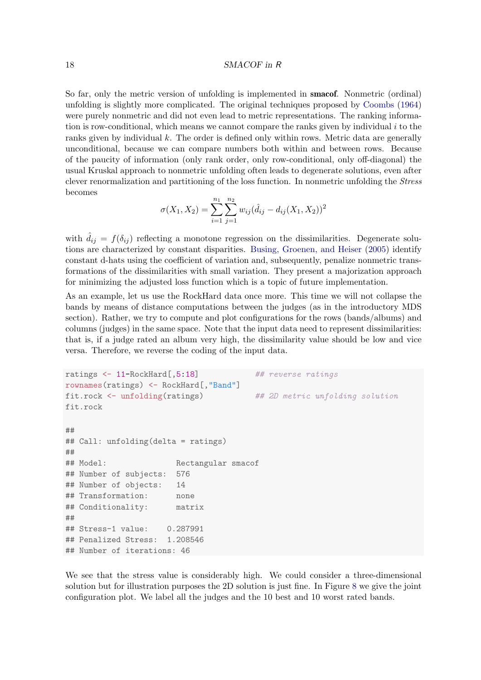So far, only the metric version of unfolding is implemented in smacof. Nonmetric (ordinal) unfolding is slightly more complicated. The original techniques proposed by [Coombs](#page-32-12) [\(1964\)](#page-32-12) were purely nonmetric and did not even lead to metric representations. The ranking information is row-conditional, which means we cannot compare the ranks given by individual  $i$  to the ranks given by individual  $k$ . The order is defined only within rows. Metric data are generally unconditional, because we can compare numbers both within and between rows. Because of the paucity of information (only rank order, only row-conditional, only off-diagonal) the usual Kruskal approach to nonmetric unfolding often leads to degenerate solutions, even after clever renormalization and partitioning of the loss function. In nonmetric unfolding the Stress becomes

$$
\sigma(X_1, X_2) = \sum_{i=1}^{n_1} \sum_{j=1}^{n_2} w_{ij} (\hat{d}_{ij} - d_{ij}(X_1, X_2))^2
$$

with  $d_{ij} = f(\delta_{ij})$  reflecting a monotone regression on the dissimilarities. Degenerate solutions are characterized by constant disparities. [Busing, Groenen, and Heiser](#page-32-13) [\(2005\)](#page-32-13) identify constant d-hats using the coefficient of variation and, subsequently, penalize nonmetric transformations of the dissimilarities with small variation. They present a majorization approach for minimizing the adjusted loss function which is a topic of future implementation.

As an example, let us use the RockHard data once more. This time we will not collapse the bands by means of distance computations between the judges (as in the introductory MDS section). Rather, we try to compute and plot configurations for the rows (bands/albums) and columns (judges) in the same space. Note that the input data need to represent dissimilarities: that is, if a judge rated an album very high, the dissimilarity value should be low and vice versa. Therefore, we reverse the coding of the input data.

```
ratings <- 11-RockHard[,5:18] ## reverse ratings
rownames(ratings) <- RockHard[,"Band"]
fit.rock <- unfolding(ratings) ## 2D metric unfolding solution
fit.rock
##
## Call: unfolding(delta = ratings)
##
## Model: Rectangular smacof
## Number of subjects: 576
## Number of objects: 14
## Transformation: none
## Conditionality: matrix
##
## Stress-1 value: 0.287991
## Penalized Stress: 1.208546
## Number of iterations: 46
```
We see that the stress value is considerably high. We could consider a three-dimensional solution but for illustration purposes the 2D solution is just fine. In Figure [8](#page-19-0) we give the joint configuration plot. We label all the judges and the 10 best and 10 worst rated bands.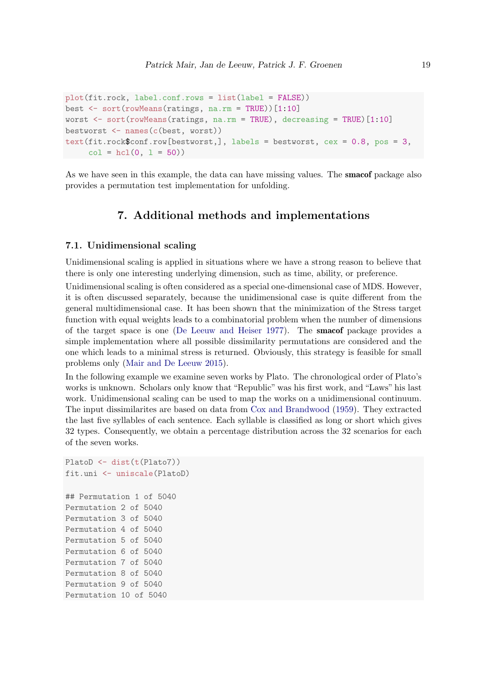```
plot(fit.rock, label.conf.rows = list(label = FALSE))
best <- sort(rowMeans(ratings, na.rm = TRUE))[1:10]
worst <- sort(rowMeans(ratings, na.rm = TRUE), decreasing = TRUE)[1:10]
bestworst <- names(c(best, worst))
text(fit.rock$conf.row[bestworst,], labels = bestworst, cex = 0.8, pos = 3,
     col = hcl(0, 1 = 50)
```
As we have seen in this example, the data can have missing values. The **smacof** package also provides a permutation test implementation for unfolding.

## 7. Additional methods and implementations

### 7.1. Unidimensional scaling

Unidimensional scaling is applied in situations where we have a strong reason to believe that there is only one interesting underlying dimension, such as time, ability, or preference.

Unidimensional scaling is often considered as a special one-dimensional case of MDS. However, it is often discussed separately, because the unidimensional case is quite different from the general multidimensional case. It has been shown that the minimization of the Stress target function with equal weights leads to a combinatorial problem when the number of dimensions of the target space is one [\(De Leeuw and Heiser](#page-33-4) [1977\)](#page-33-4). The smacof package provides a simple implementation where all possible dissimilarity permutations are considered and the one which leads to a minimal stress is returned. Obviously, this strategy is feasible for small problems only [\(Mair and De Leeuw](#page-33-16) [2015\)](#page-33-16).

In the following example we examine seven works by Plato. The chronological order of Plato's works is unknown. Scholars only know that "Republic" was his first work, and "Laws" his last work. Unidimensional scaling can be used to map the works on a unidimensional continuum. The input dissimilarites are based on data from [Cox and Brandwood](#page-32-14) [\(1959\)](#page-32-14). They extracted the last five syllables of each sentence. Each syllable is classified as long or short which gives 32 types. Consequently, we obtain a percentage distribution across the 32 scenarios for each of the seven works.

```
PlatoD <- dist(t(Plato7))
fit.uni <- uniscale(PlatoD)
## Permutation 1 of 5040
Permutation 2 of 5040
Permutation 3 of 5040
Permutation 4 of 5040
Permutation 5 of 5040
Permutation 6 of 5040
Permutation 7 of 5040
Permutation 8 of 5040
Permutation 9 of 5040
Permutation 10 of 5040
```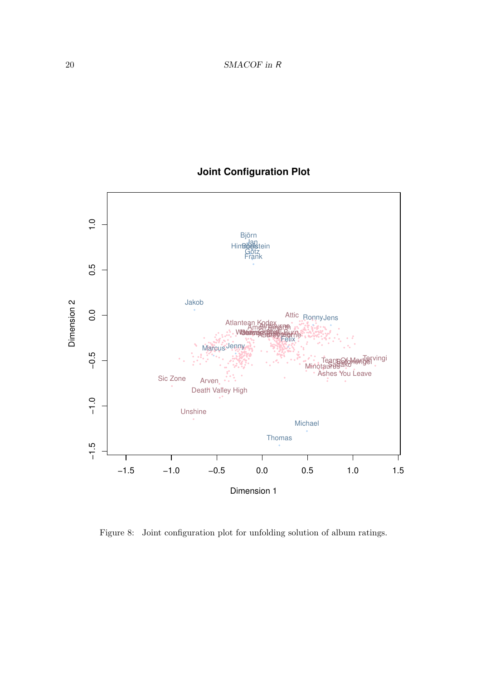# **Joint Configuration Plot**



<span id="page-19-0"></span>Figure 8: Joint configuration plot for unfolding solution of album ratings.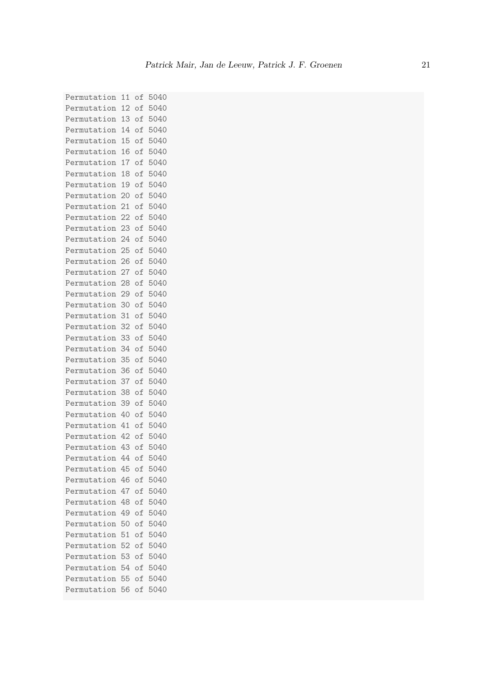Permutation 11 of 5040 Permutation 12 of 5040 Permutation 13 of 5040 Permutation 14 of 5040 Permutation 15 of 5040 Permutation 16 of 5040 Permutation 17 of 5040 Permutation 18 of 5040 Permutation 19 of 5040 Permutation 20 of 5040 Permutation 21 of 5040 Permutation 22 of 5040 Permutation 23 of 5040 Permutation 24 of 5040 Permutation 25 of 5040 Permutation 26 of 5040 Permutation 27 of 5040 Permutation 28 of 5040 Permutation 29 of 5040 Permutation 30 of 5040 Permutation 31 of 5040 Permutation 32 of 5040 Permutation 33 of 5040 Permutation 34 of 5040 Permutation 35 of 5040 Permutation 36 of 5040 Permutation 37 of 5040 Permutation 38 of 5040 Permutation 39 of 5040 Permutation 40 of 5040 Permutation 41 of 5040 Permutation 42 of 5040 Permutation 43 of 5040 Permutation 44 of 5040 Permutation 45 of 5040 Permutation 46 of 5040 Permutation 47 of 5040 Permutation 48 of 5040 Permutation 49 of 5040 Permutation 50 of 5040 Permutation 51 of 5040 Permutation 52 of 5040 Permutation 53 of 5040 Permutation 54 of 5040 Permutation 55 of 5040 Permutation 56 of 5040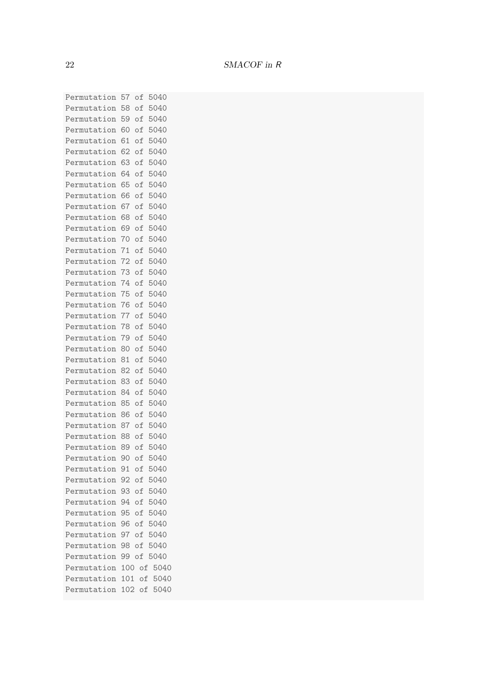Permutation 57 of 5040 Permutation 58 of 5040 Permutation 59 of 5040 Permutation 60 of 5040 Permutation 61 of 5040 Permutation 62 of 5040 Permutation 63 of 5040 Permutation 64 of 5040 Permutation 65 of 5040 Permutation 66 of 5040 Permutation 67 of 5040 Permutation 68 of 5040 Permutation 69 of 5040 Permutation 70 of 5040 Permutation 71 of 5040 Permutation 72 of 5040 Permutation 73 of 5040 Permutation 74 of 5040 Permutation 75 of 5040 Permutation 76 of 5040 Permutation 77 of 5040 Permutation 78 of 5040 Permutation 79 of 5040 Permutation 80 of 5040 Permutation 81 of 5040 Permutation 82 of 5040 Permutation 83 of 5040 Permutation 84 of 5040 Permutation 85 of 5040 Permutation 86 of 5040 Permutation 87 of 5040 Permutation 88 of 5040 Permutation 89 of 5040 Permutation 90 of 5040 Permutation 91 of 5040 Permutation 92 of 5040 Permutation 93 of 5040 Permutation 94 of 5040 Permutation 95 of 5040 Permutation 96 of 5040 Permutation 97 of 5040 Permutation 98 of 5040 Permutation 99 of 5040 Permutation 100 of 5040 Permutation 101 of 5040 Permutation 102 of 5040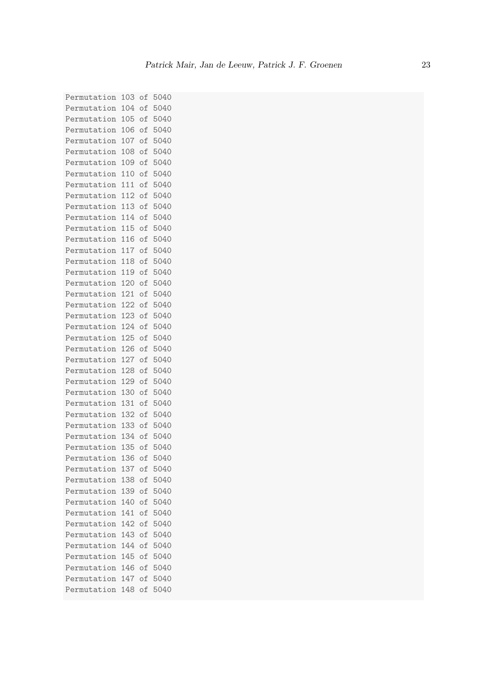Permutation 103 of 5040 Permutation 104 of 5040 Permutation 105 of 5040 Permutation 106 of 5040 Permutation 107 of 5040 Permutation 108 of 5040 Permutation 109 of 5040 Permutation 110 of 5040 Permutation 111 of 5040 Permutation 112 of 5040 Permutation 113 of 5040 Permutation 114 of 5040 Permutation 115 of 5040 Permutation 116 of 5040 Permutation 117 of 5040 Permutation 118 of 5040 Permutation 119 of 5040 Permutation 120 of 5040 Permutation 121 of 5040 Permutation 122 of 5040 Permutation 123 of 5040 Permutation 124 of 5040 Permutation 125 of 5040 Permutation 126 of 5040 Permutation 127 of 5040 Permutation 128 of 5040 Permutation 129 of 5040 Permutation 130 of 5040 Permutation 131 of 5040 Permutation 132 of 5040 Permutation 133 of 5040 Permutation 134 of 5040 Permutation 135 of 5040 Permutation 136 of 5040 Permutation 137 of 5040 Permutation 138 of 5040 Permutation 139 of 5040 Permutation 140 of 5040 Permutation 141 of 5040 Permutation 142 of 5040 Permutation 143 of 5040 Permutation 144 of 5040 Permutation 145 of 5040 Permutation 146 of 5040 Permutation 147 of 5040 Permutation 148 of 5040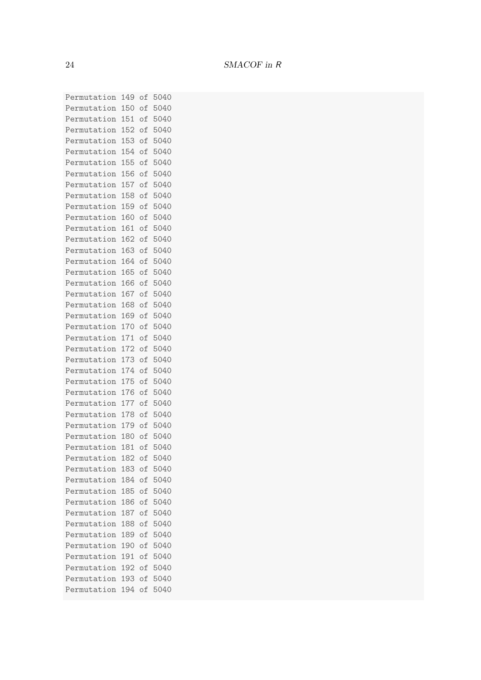Permutation 149 of 5040 Permutation 150 of 5040 Permutation 151 of 5040 Permutation 152 of 5040 Permutation 153 of 5040 Permutation 154 of 5040 Permutation 155 of 5040 Permutation 156 of 5040 Permutation 157 of 5040 Permutation 158 of 5040 Permutation 159 of 5040 Permutation 160 of 5040 Permutation 161 of 5040 Permutation 162 of 5040 Permutation 163 of 5040 Permutation 164 of 5040 Permutation 165 of 5040 Permutation 166 of 5040 Permutation 167 of 5040 Permutation 168 of 5040 Permutation 169 of 5040 Permutation 170 of 5040 Permutation 171 of 5040 Permutation 172 of 5040 Permutation 173 of 5040 Permutation 174 of 5040 Permutation 175 of 5040 Permutation 176 of 5040 Permutation 177 of 5040 Permutation 178 of 5040 Permutation 179 of 5040 Permutation 180 of 5040 Permutation 181 of 5040 Permutation 182 of 5040 Permutation 183 of 5040 Permutation 184 of 5040 Permutation 185 of 5040 Permutation 186 of 5040 Permutation 187 of 5040 Permutation 188 of 5040 Permutation 189 of 5040 Permutation 190 of 5040 Permutation 191 of 5040 Permutation 192 of 5040 Permutation 193 of 5040 Permutation 194 of 5040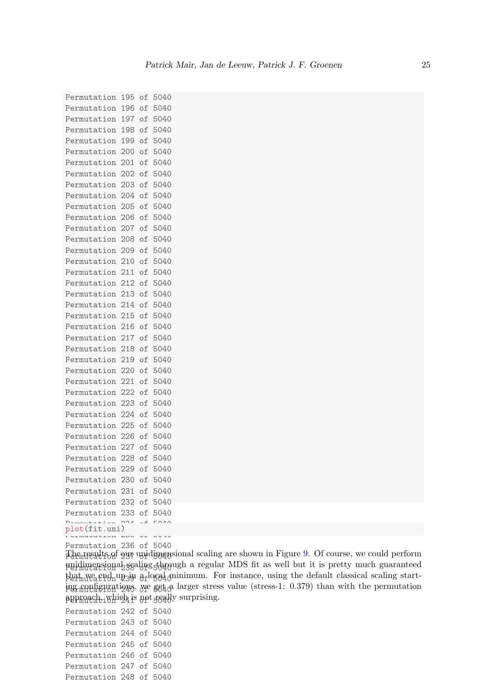Permutation 195 of 5040 Permutation 196 of 5040 Permutation 197 of 5040 Permutation 198 of 5040 Permutation 199 of 5040 Permutation 200 of 5040 Permutation 201 of 5040 Permutation 202 of 5040 Permutation 203 of 5040 Permutation 204 of 5040 Permutation 205 of 5040 Permutation 206 of 5040 Permutation 207 of 5040 Permutation 208 of 5040 Permutation 209 of 5040 Permutation 210 of 5040 Permutation 211 of 5040 Permutation 212 of 5040 Permutation 213 of 5040 Permutation 214 of 5040 Permutation 215 of 5040 Permutation 216 of 5040 Permutation 217 of 5040 Permutation 218 of 5040 Permutation 219 of 5040 Permutation 220 of 5040 Permutation 221 of 5040 Permutation 222 of 5040 Permutation 223 of 5040 Permutation 224 of 5040 Permutation 225 of 5040 Permutation 226 of 5040 Permutation 227 of 5040 Permutation 228 of 5040 Permutation 229 of 5040 Permutation 230 of 5040 Permutation 231 of 5040 Permutation 232 of 5040 Permutation 233 of 5040 plot(fit.uni)

Permutation 235 of 5040

Permutation 236 of 5040

The results of 9<sup>14</sup> unidimensional scaling are shown in Figure [9.](#page-25-0) Of course, we could perform puidimensional sealing through a regular MDS fit as well but it is pretty much guaranteed phat we end up in a local minimum. For instance, using the default classical scaling start-Permutation 240 of 5040 ing configurations, we get a larger stress value (stress-1: 0.379) than with the permutation  $\operatorname{pprmax}$ d $\operatorname{pip}$  is  $\operatorname{ppt}$   $\operatorname{geq}$ dy surprising.

| Permutation 242 of 5040 |  |  |
|-------------------------|--|--|
| Permutation 243 of 5040 |  |  |
| Permutation 244 of 5040 |  |  |
| Permutation 245 of 5040 |  |  |
| Permutation 246 of 5040 |  |  |
| Permutation 247 of 5040 |  |  |
| Permutation 248 of 5040 |  |  |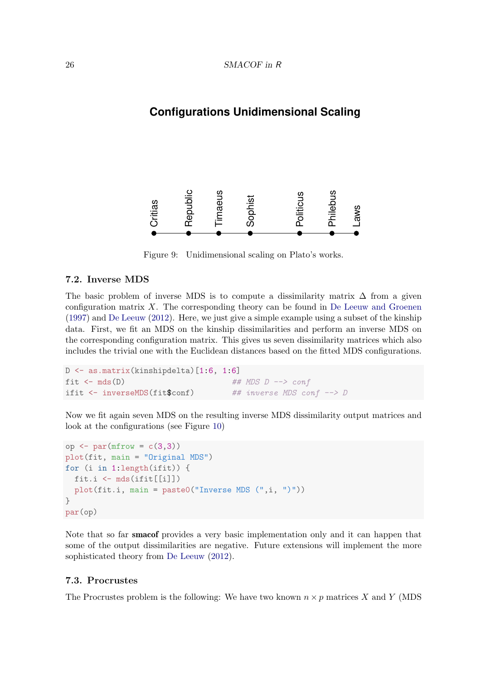# **Configurations Unidimensional Scaling**



Figure 9: Unidimensional scaling on Plato's works.

### <span id="page-25-0"></span>7.2. Inverse MDS

The basic problem of inverse MDS is to compute a dissimilarity matrix  $\Delta$  from a given configuration matrix  $X$ . The corresponding theory can be found in [De Leeuw and Groenen](#page-32-15) [\(1997\)](#page-32-15) and [De Leeuw](#page-32-16) [\(2012\)](#page-32-16). Here, we just give a simple example using a subset of the kinship data. First, we fit an MDS on the kinship dissimilarities and perform an inverse MDS on the corresponding configuration matrix. This gives us seven dissimilarity matrices which also includes the trivial one with the Euclidean distances based on the fitted MDS configurations.

```
D <- as.matrix(kinshipdelta)[1:6, 1:6]
fit \leq mds(D) \qquad ## MDS D \rightarrow conf
ifit \le inverseMDS(fit$conf) ## inverse MDS conf \Rightarrow D
```
Now we fit again seven MDS on the resulting inverse MDS dissimilarity output matrices and look at the configurations (see Figure [10\)](#page-26-0)

```
op <- par(mfrow = c(3,3))
plot(fit, main = "Original MDS")
for (i in 1:length(ifit)) {
  fit.i <- mds(ifit[[i]])
  plot(fit.i, main = paste0("Inverse MDS (", i, "))")}
par(op)
```
Note that so far smacof provides a very basic implementation only and it can happen that some of the output dissimilarities are negative. Future extensions will implement the more sophisticated theory from [De Leeuw](#page-32-16) [\(2012\)](#page-32-16).

### 7.3. Procrustes

The Procrustes problem is the following: We have two known  $n \times p$  matrices X and Y (MDS)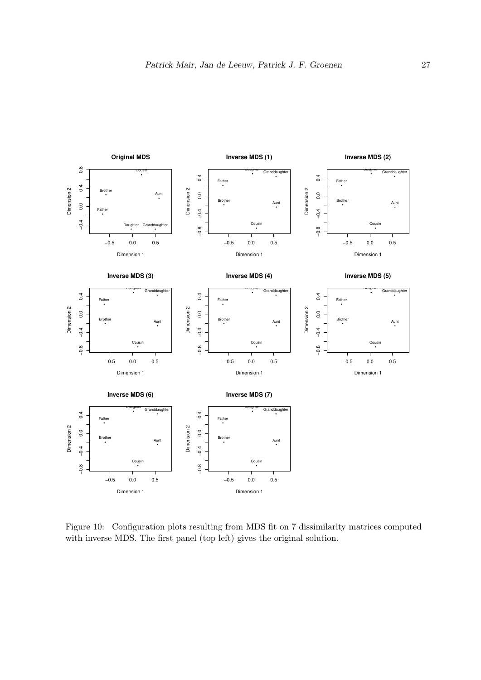

<span id="page-26-0"></span>Figure 10: Configuration plots resulting from MDS fit on 7 dissimilarity matrices computed with inverse MDS. The first panel (top left) gives the original solution.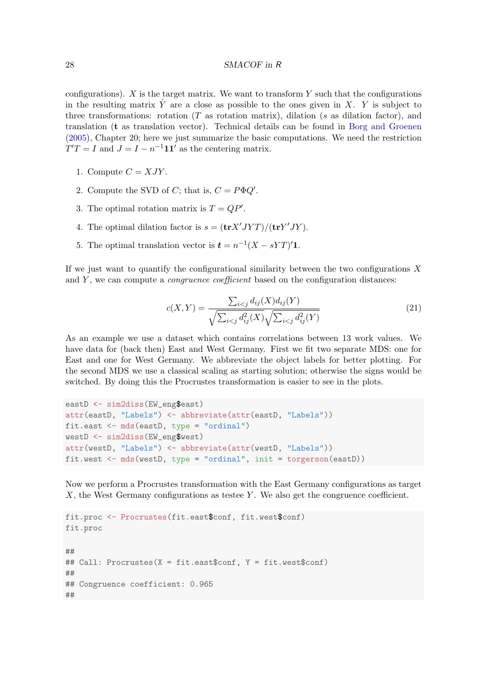configurations).  $X$  is the target matrix. We want to transform  $Y$  such that the configurations in the resulting matrix  $\hat{Y}$  are a close as possible to the ones given in X. Y is subject to three transformations: rotation  $(T$  as rotation matrix), dilation (s as dilation factor), and translation (t as translation vector). Technical details can be found in [Borg and Groenen](#page-32-1) [\(2005\)](#page-32-1), Chapter 20; here we just summarize the basic computations. We need the restriction  $T'T = I$  and  $J = I - n^{-1}\mathbf{1}\mathbf{1}'$  as the centering matrix.

- 1. Compute  $C = XJY$ .
- 2. Compute the SVD of C; that is,  $C = P \Phi Q'$ .
- 3. The optimal rotation matrix is  $T = QP'$ .
- 4. The optimal dilation factor is  $s = (\mathbf{tr} X' J Y T) / (\mathbf{tr} Y' J Y)$ .
- 5. The optimal translation vector is  $t = n^{-1}(X sYT)^{t}$ .

If we just want to quantify the configurational similarity between the two configurations  $X$ and  $Y$ , we can compute a *congruence coefficient* based on the configuration distances:

$$
c(X,Y) = \frac{\sum_{i < j} d_{ij}(X) d_{ij}(Y)}{\sqrt{\sum_{i < j} d_{ij}^2(X)} \sqrt{\sum_{i < j} d_{ij}^2(Y)}}\tag{21}
$$

As an example we use a dataset which contains correlations between 13 work values. We have data for (back then) East and West Germany. First we fit two separate MDS: one for East and one for West Germany. We abbreviate the object labels for better plotting. For the second MDS we use a classical scaling as starting solution; otherwise the signs would be switched. By doing this the Procrustes transformation is easier to see in the plots.

```
eastD <- sim2diss(EW_eng$east)
attr(eastD, "Labels") <- abbreviate(attr(eastD, "Labels"))
fit.east <- mds(eastD, type = "ordinal")
westD <- sim2diss(EW_eng$west)
attr(westD, "Labels") <- abbreviate(attr(westD, "Labels"))
fit.west <- mds(westD, type = "ordinal", init = torgerson(eastD))
```
Now we perform a Procrustes transformation with the East Germany configurations as target  $X$ , the West Germany configurations as testee Y. We also get the congruence coefficient.

```
fit.proc <- Procrustes(fit.east$conf, fit.west$conf)
fit.proc
##
## Call: Procrustes(X = fit.east$conf, Y = fit.west$conf)
##
## Congruence coefficient: 0.965
##
```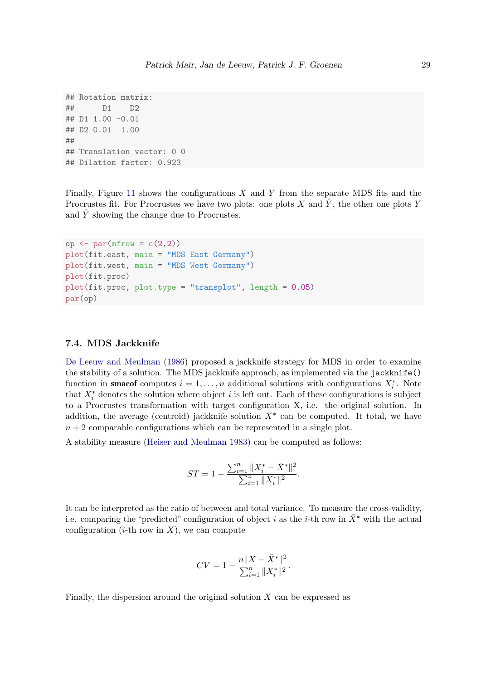```
## Rotation matrix:
## D1 D2
## D1 1.00 -0.01
## D2 0.01 1.00
##
## Translation vector: 0 0
## Dilation factor: 0.923
```
Finally, Figure [11](#page-29-0) shows the configurations  $X$  and  $Y$  from the separate MDS fits and the Procrustes fit. For Procrustes we have two plots: one plots X and  $\hat{Y}$ , the other one plots Y and Y showing the change due to Procrustes.

```
op <- par(mfrow = c(2,2))
plot(fit.east, main = "MDS East Germany")
plot(fit.west, main = "MDS West Germany")
plot(fit.proc)
plot(fit.proc, plot.type = "transplot", length = 0.05)
par(op)
```
### 7.4. MDS Jackknife

[De Leeuw and Meulman](#page-33-17) [\(1986\)](#page-33-17) proposed a jackknife strategy for MDS in order to examine the stability of a solution. The MDS jackknife approach, as implemented via the jackknife() function in **smacof** computes  $i = 1, ..., n$  additional solutions with configurations  $X_i^*$ . Note that  $X_i^*$  denotes the solution where object i is left out. Each of these configurations is subject to a Procrustes transformation with target configuration X, i.e. the original solution. In addition, the average (centroid) jackknife solution  $\bar{X}^*$  can be computed. It total, we have  $n + 2$  comparable configurations which can be represented in a single plot.

A stability measure [\(Heiser and Meulman](#page-33-12) [1983\)](#page-33-12) can be computed as follows:

$$
ST = 1 - \frac{\sum_{i=1}^{n} ||X_i^* - \bar{X}^*||^2}{\sum_{i=1}^{n} ||X_i^*||^2}.
$$

It can be interpreted as the ratio of between and total variance. To measure the cross-validity, i.e. comparing the "predicted" configuration of object i as the i-th row in  $\bar{X}^*$  with the actual configuration  $(i$ -th row in X), we can compute

$$
CV = 1 - \frac{n||X - \bar{X}^*||^2}{\sum_{i=1}^n ||X_i^*||^2}.
$$

Finally, the dispersion around the original solution  $X$  can be expressed as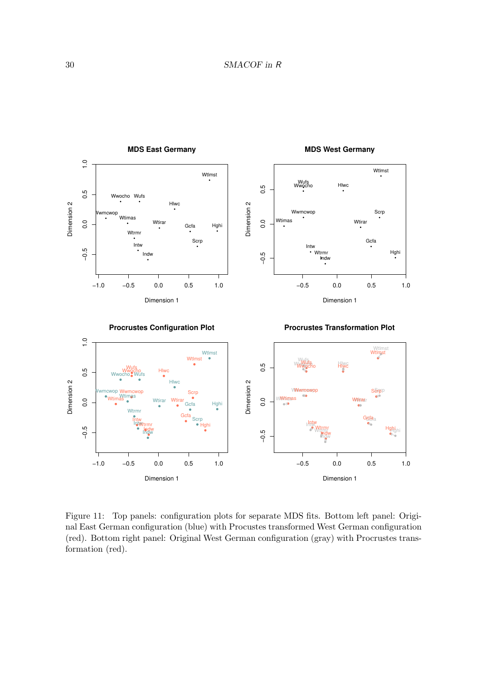

<span id="page-29-0"></span>Figure 11: Top panels: configuration plots for separate MDS fits. Bottom left panel: Original East German configuration (blue) with Procustes transformed West German configuration (red). Bottom right panel: Original West German configuration (gray) with Procrustes transformation (red).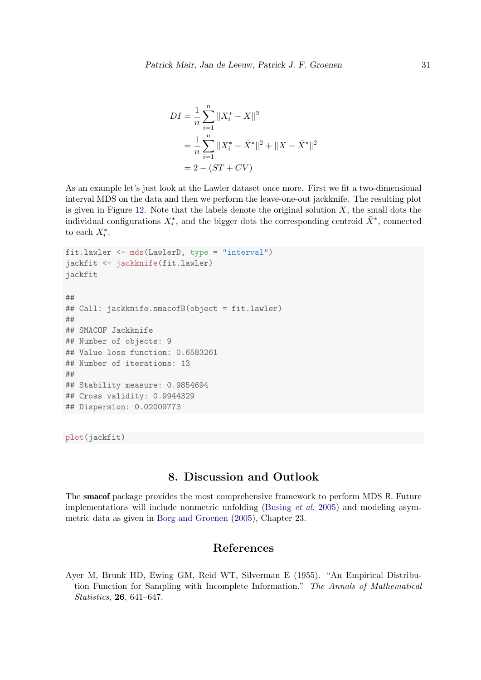$$
DI = \frac{1}{n} \sum_{i=1}^{n} \|X_i^* - X\|^2
$$
  
= 
$$
\frac{1}{n} \sum_{i=1}^{n} \|X_i^* - \bar{X}^*\|^2 + \|X - \bar{X}^*\|^2
$$
  
= 
$$
2 - (ST + CV)
$$

As an example let's just look at the Lawler dataset once more. First we fit a two-dimensional interval MDS on the data and then we perform the leave-one-out jackknife. The resulting plot is given in Figure [12.](#page-31-0) Note that the labels denote the original solution  $X$ , the small dots the individual configurations  $X_i^*$ , and the bigger dots the corresponding centroid  $\bar{X}^*$ , connected to each  $X_i^*$ .

```
fit.lawler <- mds(LawlerD, type = "interval")
jackfit <- jackknife(fit.lawler)
jackfit
##
## Call: jackknife.smacofB(object = fit.lawler)
##
## SMACOF Jackknife
## Number of objects: 9
## Value loss function: 0.6583261
## Number of iterations: 13
##
## Stability measure: 0.9854694
## Cross validity: 0.9944329
## Dispersion: 0.02009773
```
plot(jackfit)

# 8. Discussion and Outlook

The smacof package provides the most comprehensive framework to perform MDS R. Future implementations will include nonmetric unfolding [\(Busing](#page-32-13) et al. [2005\)](#page-32-13) and modeling asymmetric data as given in [Borg and Groenen](#page-32-1) [\(2005\)](#page-32-1), Chapter 23.

## References

<span id="page-30-0"></span>Ayer M, Brunk HD, Ewing GM, Reid WT, Silverman E (1955). "An Empirical Distribution Function for Sampling with Incomplete Information." The Annals of Mathematical Statistics, 26, 641–647.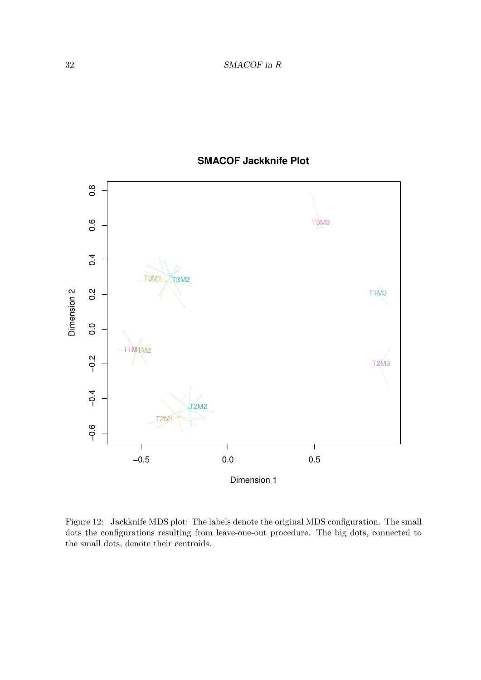



<span id="page-31-0"></span>Figure 12: Jackknife MDS plot: The labels denote the original MDS configuration. The small dots the configurations resulting from leave-one-out procedure. The big dots, connected to the small dots, denote their centroids.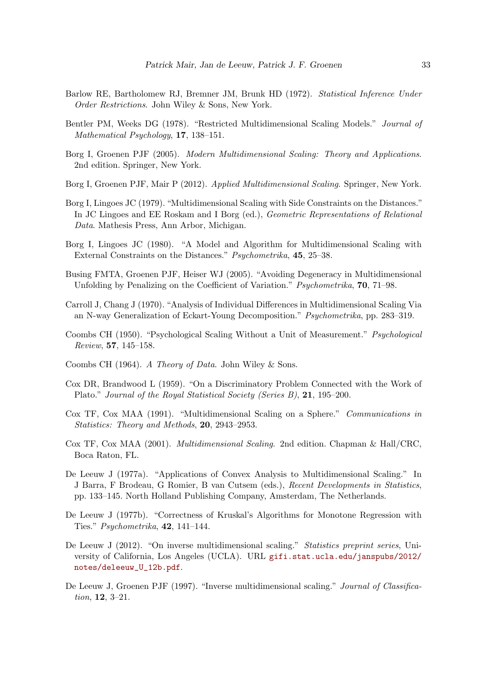- <span id="page-32-4"></span>Barlow RE, Bartholomew RJ, Bremner JM, Brunk HD (1972). Statistical Inference Under Order Restrictions. John Wiley & Sons, New York.
- <span id="page-32-9"></span>Bentler PM, Weeks DG (1978). "Restricted Multidimensional Scaling Models." Journal of Mathematical Psychology, 17, 138–151.
- <span id="page-32-1"></span>Borg I, Groenen PJF (2005). Modern Multidimensional Scaling: Theory and Applications. 2nd edition. Springer, New York.
- <span id="page-32-5"></span>Borg I, Groenen PJF, Mair P (2012). Applied Multidimensional Scaling. Springer, New York.
- <span id="page-32-7"></span>Borg I, Lingoes JC (1979). "Multidimensional Scaling with Side Constraints on the Distances." In JC Lingoes and EE Roskam and I Borg (ed.), Geometric Representations of Relational Data. Mathesis Press, Ann Arbor, Michigan.
- <span id="page-32-8"></span>Borg I, Lingoes JC (1980). "A Model and Algorithm for Multidimensional Scaling with External Constraints on the Distances." Psychometrika, 45, 25–38.
- <span id="page-32-13"></span>Busing FMTA, Groenen PJF, Heiser WJ (2005). "Avoiding Degeneracy in Multidimensional Unfolding by Penalizing on the Coefficient of Variation." Psychometrika, 70, 71–98.
- <span id="page-32-10"></span>Carroll J, Chang J (1970). "Analysis of Individual Differences in Multidimensional Scaling Via an N-way Generalization of Eckart-Young Decomposition." Psychometrika, pp. 283–319.
- <span id="page-32-11"></span>Coombs CH (1950). "Psychological Scaling Without a Unit of Measurement." Psychological Review, 57, 145–158.
- <span id="page-32-12"></span>Coombs CH (1964). A Theory of Data. John Wiley & Sons.
- <span id="page-32-14"></span>Cox DR, Brandwood L (1959). "On a Discriminatory Problem Connected with the Work of Plato." Journal of the Royal Statistical Society (Series B), 21, 195–200.
- <span id="page-32-6"></span>Cox TF, Cox MAA (1991). "Multidimensional Scaling on a Sphere." Communications in Statistics: Theory and Methods, 20, 2943–2953.
- <span id="page-32-0"></span>Cox TF, Cox MAA (2001). Multidimensional Scaling. 2nd edition. Chapman & Hall/CRC, Boca Raton, FL.
- <span id="page-32-2"></span>De Leeuw J (1977a). "Applications of Convex Analysis to Multidimensional Scaling." In J Barra, F Brodeau, G Romier, B van Cutsem (eds.), Recent Developments in Statistics, pp. 133–145. North Holland Publishing Company, Amsterdam, The Netherlands.
- <span id="page-32-3"></span>De Leeuw J (1977b). "Correctness of Kruskal's Algorithms for Monotone Regression with Ties." Psychometrika, 42, 141–144.
- <span id="page-32-16"></span>De Leeuw J (2012). "On inverse multidimensional scaling." Statistics preprint series, University of California, Los Angeles (UCLA). URL [gifi.stat.ucla.edu/janspubs/2012/](gifi.stat.ucla.edu/janspubs/2012/notes/deleeuw_U_12b.pdf) [notes/deleeuw\\_U\\_12b.pdf](gifi.stat.ucla.edu/janspubs/2012/notes/deleeuw_U_12b.pdf).
- <span id="page-32-15"></span>De Leeuw J, Groenen PJF (1997). "Inverse multidimensional scaling." Journal of Classification, 12, 3–21.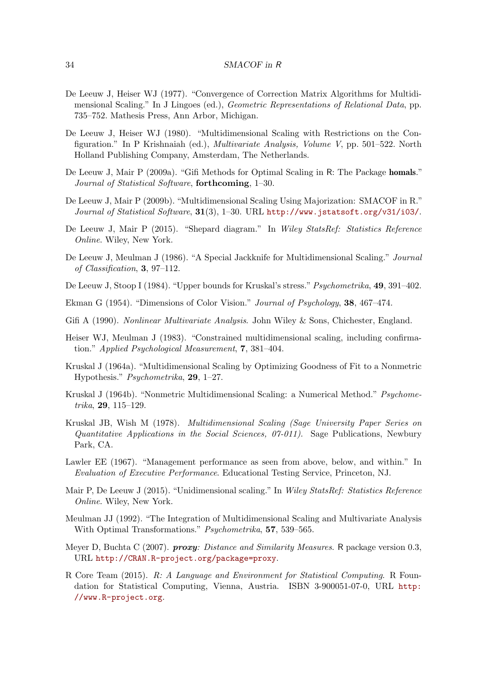- <span id="page-33-4"></span>De Leeuw J, Heiser WJ (1977). "Convergence of Correction Matrix Algorithms for Multidimensional Scaling." In J Lingoes (ed.), Geometric Representations of Relational Data, pp. 735–752. Mathesis Press, Ann Arbor, Michigan.
- <span id="page-33-5"></span>De Leeuw J, Heiser WJ (1980). "Multidimensional Scaling with Restrictions on the Configuration." In P Krishnaiah (ed.), Multivariate Analysis, Volume V, pp. 501–522. North Holland Publishing Company, Amsterdam, The Netherlands.
- <span id="page-33-15"></span>De Leeuw J, Mair P (2009a). "Gifi Methods for Optimal Scaling in R: The Package homals." Journal of Statistical Software, forthcoming, 1–30.
- <span id="page-33-0"></span>De Leeuw J, Mair P (2009b). "Multidimensional Scaling Using Majorization: SMACOF in R." Journal of Statistical Software, 31(3), 1–30. URL <http://www.jstatsoft.org/v31/i03/>.
- <span id="page-33-7"></span>De Leeuw J, Mair P (2015). "Shepard diagram." In Wiley StatsRef: Statistics Reference Online. Wiley, New York.
- <span id="page-33-17"></span>De Leeuw J, Meulman J (1986). "A Special Jackknife for Multidimensional Scaling." Journal of Classification, 3, 97–112.
- <span id="page-33-9"></span>De Leeuw J, Stoop I (1984). "Upper bounds for Kruskal's stress." *Psychometrika*, **49**, 391-402.
- <span id="page-33-11"></span>Ekman G (1954). "Dimensions of Color Vision." Journal of Psychology, 38, 467–474.
- <span id="page-33-14"></span>Gifi A (1990). Nonlinear Multivariate Analysis. John Wiley & Sons, Chichester, England.
- <span id="page-33-12"></span>Heiser WJ, Meulman J (1983). "Constrained multidimensional scaling, including confirmation." Applied Psychological Measurement, 7, 381–404.
- <span id="page-33-10"></span>Kruskal J (1964a). "Multidimensional Scaling by Optimizing Goodness of Fit to a Nonmetric Hypothesis." Psychometrika, 29, 1–27.
- <span id="page-33-6"></span>Kruskal J (1964b). "Nonmetric Multidimensional Scaling: a Numerical Method." Psychometrika, 29, 115–129.
- <span id="page-33-1"></span>Kruskal JB, Wish M (1978). Multidimensional Scaling (Sage University Paper Series on Quantitative Applications in the Social Sciences,  $07-011$ ). Sage Publications, Newbury Park, CA.
- <span id="page-33-8"></span>Lawler EE (1967). "Management performance as seen from above, below, and within." In Evaluation of Executive Performance. Educational Testing Service, Princeton, NJ.
- <span id="page-33-16"></span>Mair P, De Leeuw J (2015). "Unidimensional scaling." In Wiley StatsRef: Statistics Reference Online. Wiley, New York.
- <span id="page-33-13"></span>Meulman JJ (1992). "The Integration of Multidimensional Scaling and Multivariate Analysis With Optimal Transformations." Psychometrika, 57, 539–565.
- <span id="page-33-3"></span>Meyer D, Buchta C (2007). **proxy:** Distance and Similarity Measures. R package version 0.3, URL <http://CRAN.R-project.org/package=proxy>.
- <span id="page-33-2"></span>R Core Team (2015). R: A Language and Environment for Statistical Computing. R Foundation for Statistical Computing, Vienna, Austria. ISBN 3-900051-07-0, URL [http:](http://www.R-project.org) [//www.R-project.org](http://www.R-project.org).